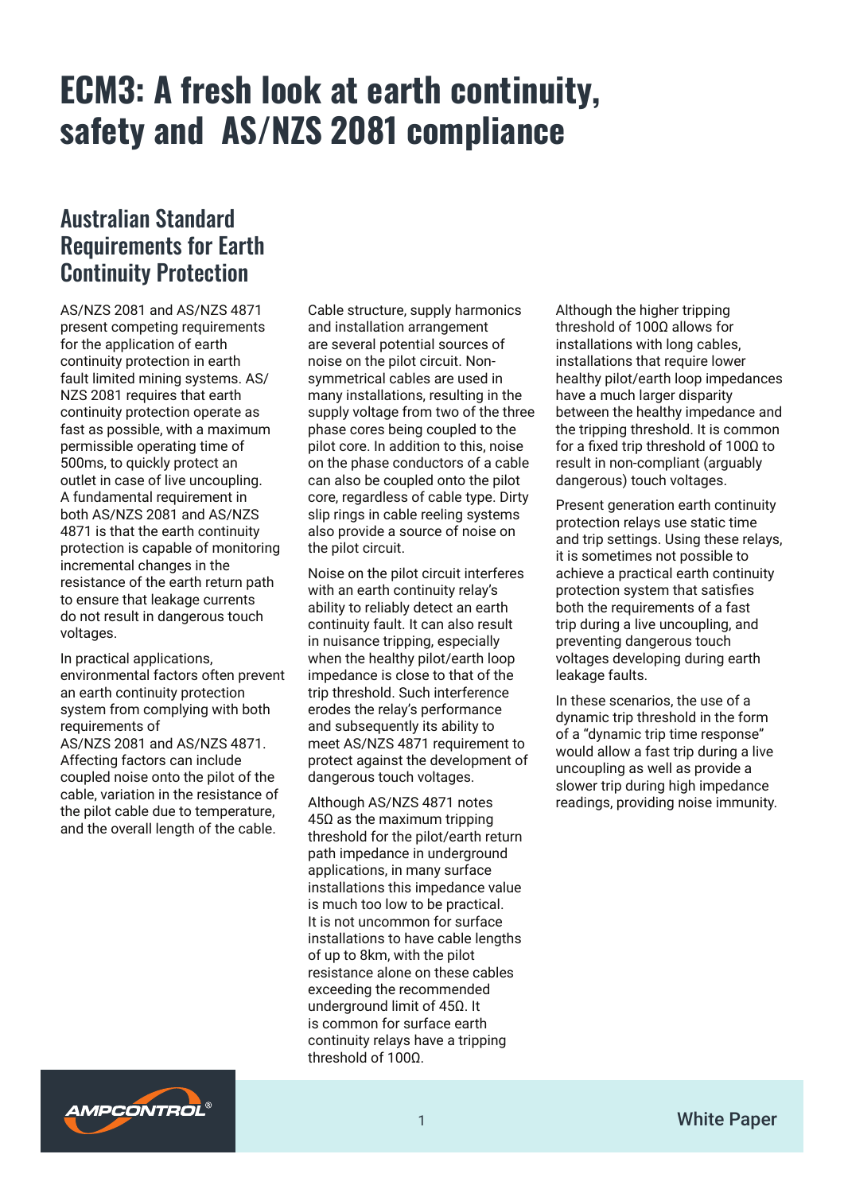### Australian Standard Requirements for Earth Continuity Protection

AS/NZS 2081 and AS/NZS 4871 present competing requirements for the application of earth continuity protection in earth fault limited mining systems. AS/ NZS 2081 requires that earth continuity protection operate as fast as possible, with a maximum permissible operating time of 500ms, to quickly protect an outlet in case of live uncoupling. A fundamental requirement in both AS/NZS 2081 and AS/NZS 4871 is that the earth continuity protection is capable of monitoring incremental changes in the resistance of the earth return path to ensure that leakage currents do not result in dangerous touch voltages.

In practical applications, environmental factors often prevent an earth continuity protection system from complying with both requirements of AS/NZS 2081 and AS/NZS 4871. Affecting factors can include coupled noise onto the pilot of the cable, variation in the resistance of the pilot cable due to temperature, and the overall length of the cable.

Cable structure, supply harmonics and installation arrangement are several potential sources of noise on the pilot circuit. Nonsymmetrical cables are used in many installations, resulting in the supply voltage from two of the three phase cores being coupled to the pilot core. In addition to this, noise on the phase conductors of a cable can also be coupled onto the pilot core, regardless of cable type. Dirty slip rings in cable reeling systems also provide a source of noise on the pilot circuit.

Noise on the pilot circuit interferes with an earth continuity relay's ability to reliably detect an earth continuity fault. It can also result in nuisance tripping, especially when the healthy pilot/earth loop impedance is close to that of the trip threshold. Such interference erodes the relay's performance and subsequently its ability to meet AS/NZS 4871 requirement to protect against the development of dangerous touch voltages.

Although AS/NZS 4871 notes 45Ω as the maximum tripping threshold for the pilot/earth return path impedance in underground applications, in many surface installations this impedance value is much too low to be practical. It is not uncommon for surface installations to have cable lengths of up to 8km, with the pilot resistance alone on these cables exceeding the recommended underground limit of 45Ω. It is common for surface earth continuity relays have a tripping threshold of 100Ω.

Although the higher tripping threshold of 100Ω allows for installations with long cables, installations that require lower healthy pilot/earth loop impedances have a much larger disparity between the healthy impedance and the tripping threshold. It is common for a fixed trip threshold of 100Ω to result in non-compliant (arguably dangerous) touch voltages.

Present generation earth continuity protection relays use static time and trip settings. Using these relays, it is sometimes not possible to achieve a practical earth continuity protection system that satisfies both the requirements of a fast trip during a live uncoupling, and preventing dangerous touch voltages developing during earth leakage faults.

In these scenarios, the use of a dynamic trip threshold in the form of a "dynamic trip time response" would allow a fast trip during a live uncoupling as well as provide a slower trip during high impedance readings, providing noise immunity.

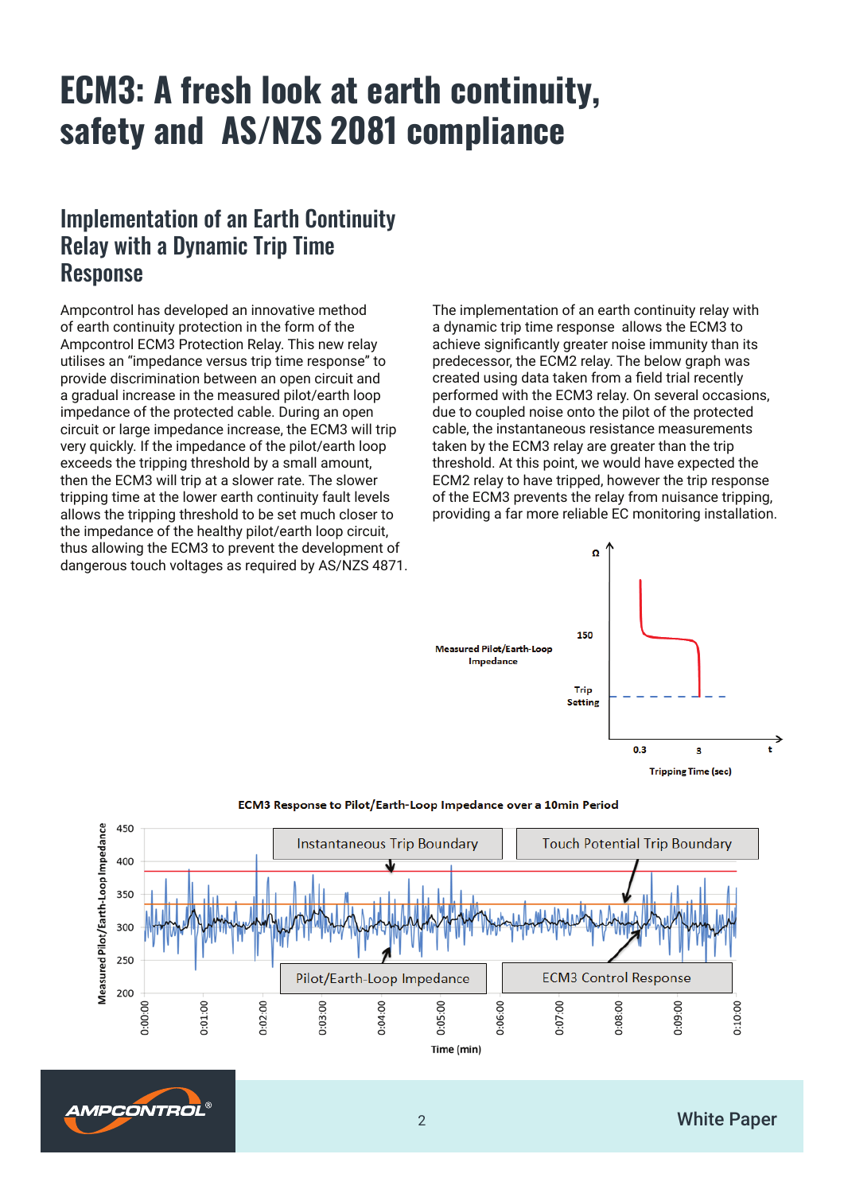#### Implementation of an Earth Continuity Relay with a Dynamic Trip Time Response

Ampcontrol has developed an innovative method of earth continuity protection in the form of the Ampcontrol ECM3 Protection Relay. This new relay utilises an "impedance versus trip time response" to provide discrimination between an open circuit and a gradual increase in the measured pilot/earth loop impedance of the protected cable. During an open circuit or large impedance increase, the ECM3 will trip very quickly. If the impedance of the pilot/earth loop exceeds the tripping threshold by a small amount, then the ECM3 will trip at a slower rate. The slower tripping time at the lower earth continuity fault levels allows the tripping threshold to be set much closer to the impedance of the healthy pilot/earth loop circuit, thus allowing the ECM3 to prevent the development of dangerous touch voltages as required by AS/NZS 4871. The implementation of an earth continuity relay with a dynamic trip time response allows the ECM3 to achieve significantly greater noise immunity than its predecessor, the ECM2 relay. The below graph was created using data taken from a field trial recently performed with the ECM3 relay. On several occasions, due to coupled noise onto the pilot of the protected cable, the instantaneous resistance measurements taken by the ECM3 relay are greater than the trip threshold. At this point, we would have expected the ECM2 relay to have tripped, however the trip response of the ECM3 prevents the relay from nuisance tripping, providing a far more reliable EC monitoring installation.





#### ECM3 Response to Pilot/Earth-Loop Impedance over a 10min Period

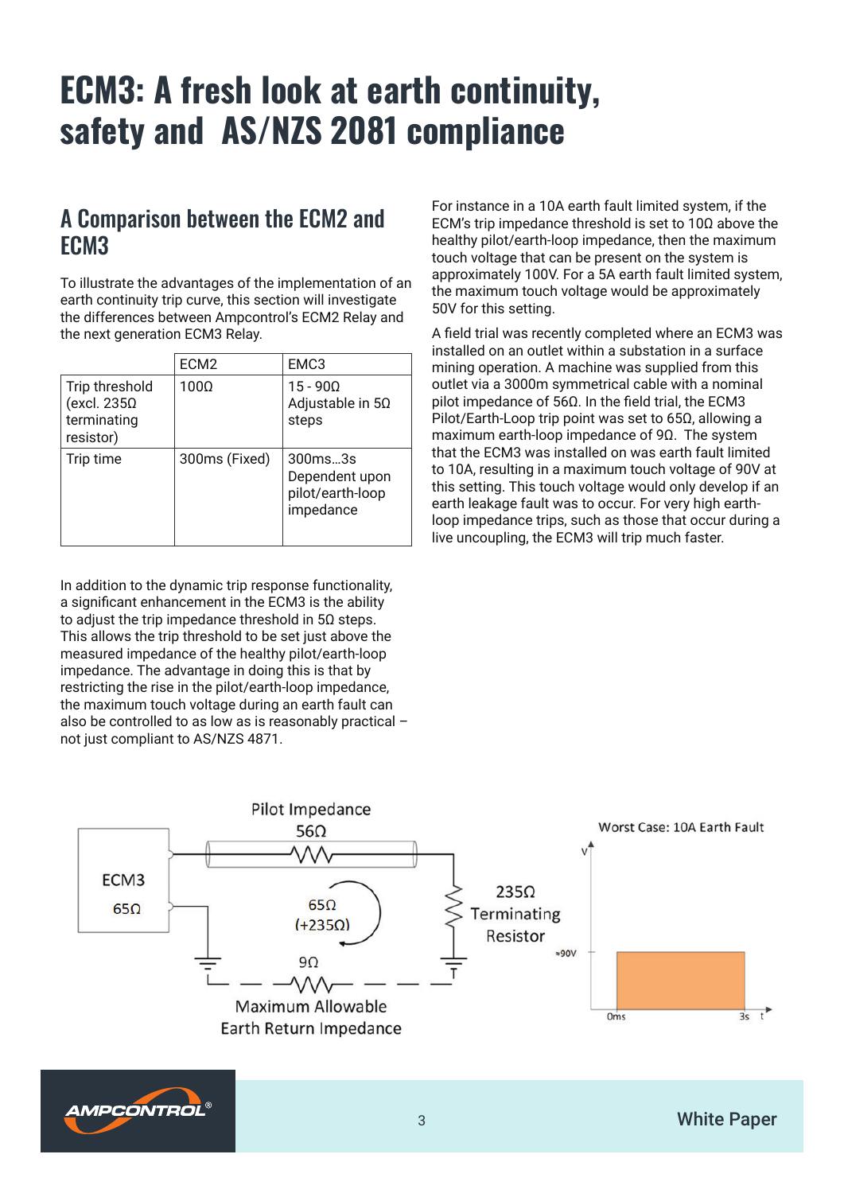#### A Comparison between the ECM2 and ECM3

To illustrate the advantages of the implementation of an earth continuity trip curve, this section will investigate the differences between Ampcontrol's ECM2 Relay and the next generation ECM3 Relay.

|                                                                  | ECM <sub>2</sub> | EMC3                                                       |
|------------------------------------------------------------------|------------------|------------------------------------------------------------|
| Trip threshold<br>(excl. $235\Omega$<br>terminating<br>resistor) | 100Ω             | $15 - 900$<br>Adjustable in $5\Omega$<br>steps             |
| Trip time                                                        | 300ms (Fixed)    | 300ms3s<br>Dependent upon<br>pilot/earth-loop<br>impedance |

In addition to the dynamic trip response functionality, a significant enhancement in the ECM3 is the ability to adjust the trip impedance threshold in 5Ω steps. This allows the trip threshold to be set just above the measured impedance of the healthy pilot/earth-loop impedance. The advantage in doing this is that by restricting the rise in the pilot/earth-loop impedance, the maximum touch voltage during an earth fault can also be controlled to as low as is reasonably practical – not just compliant to AS/NZS 4871.

For instance in a 10A earth fault limited system, if the ECM's trip impedance threshold is set to 10Ω above the healthy pilot/earth-loop impedance, then the maximum touch voltage that can be present on the system is approximately 100V. For a 5A earth fault limited system, the maximum touch voltage would be approximately 50V for this setting.

A field trial was recently completed where an ECM3 was installed on an outlet within a substation in a surface mining operation. A machine was supplied from this outlet via a 3000m symmetrical cable with a nominal pilot impedance of 56Ω. In the field trial, the ECM3 Pilot/Earth-Loop trip point was set to 65Ω, allowing a maximum earth-loop impedance of 9Ω. The system that the ECM3 was installed on was earth fault limited to 10A, resulting in a maximum touch voltage of 90V at this setting. This touch voltage would only develop if an earth leakage fault was to occur. For very high earthloop impedance trips, such as those that occur during a live uncoupling, the ECM3 will trip much faster.

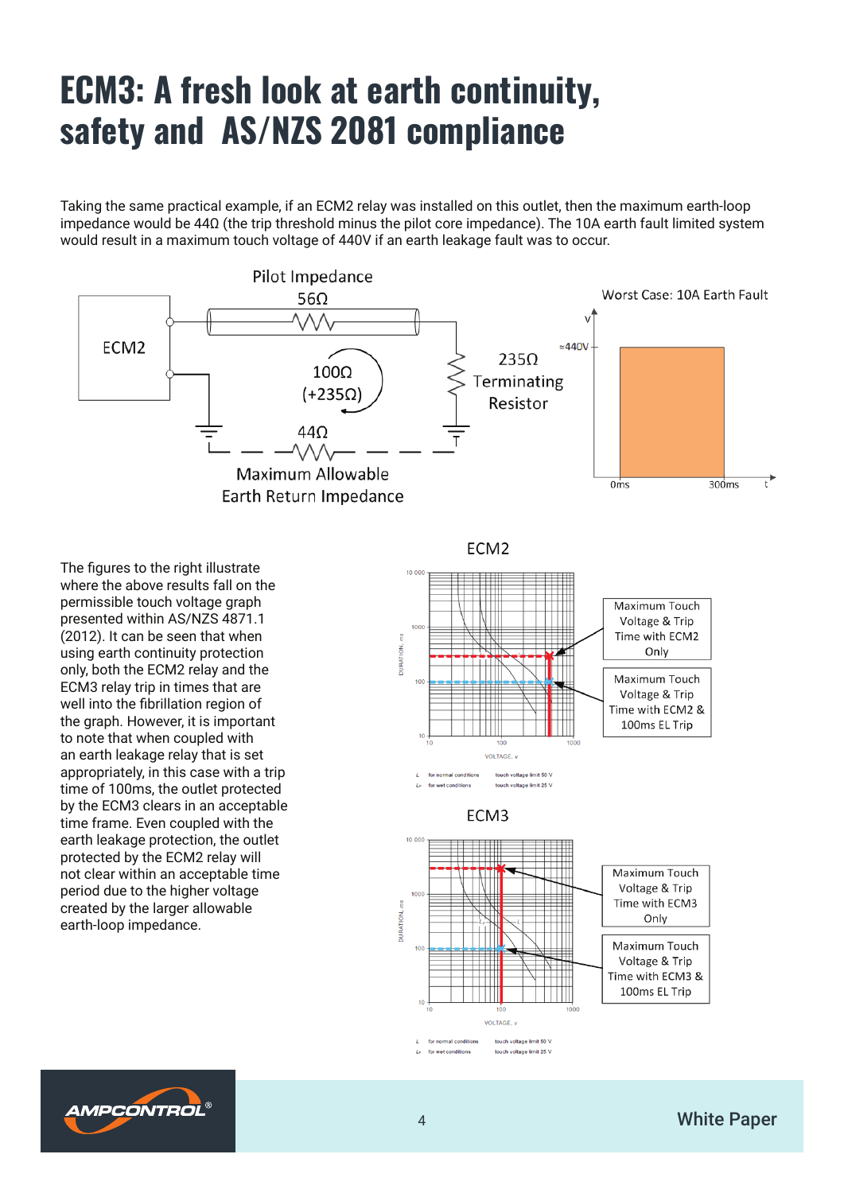Taking the same practical example, if an ECM2 relay was installed on this outlet, then the maximum earth-loop impedance would be 44Ω (the trip threshold minus the pilot core impedance). The 10A earth fault limited system would result in a maximum touch voltage of 440V if an earth leakage fault was to occur.



The figures to the right illustrate where the above results fall on the permissible touch voltage graph presented within AS/NZS 4871.1 (2012). It can be seen that when using earth continuity protection only, both the ECM2 relay and the ECM3 relay trip in times that are well into the fibrillation region of the graph. However, it is important to note that when coupled with an earth leakage relay that is set appropriately, in this case with a trip time of 100ms, the outlet protected by the ECM3 clears in an acceptable time frame. Even coupled with the earth leakage protection, the outlet protected by the ECM2 relay will not clear within an acceptable time period due to the higher voltage created by the larger allowable earth-loop impedance.

ECM<sub>2</sub>